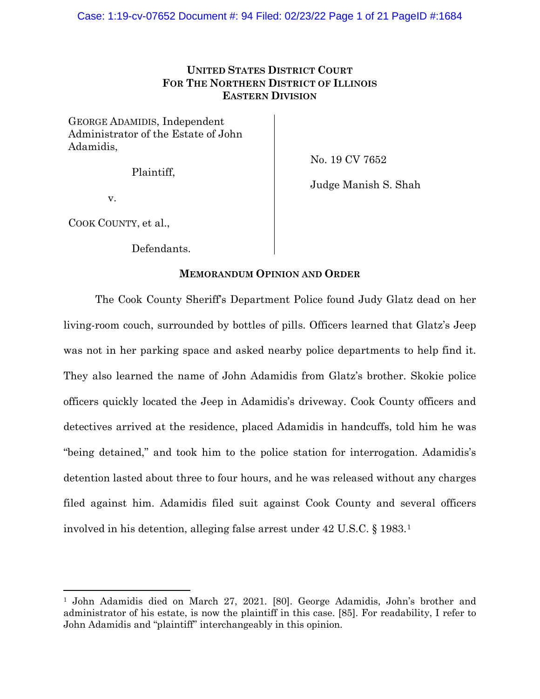## **UNITED STATES DISTRICT COURT FOR THE NORTHERN DISTRICT OF ILLINOIS EASTERN DIVISION**

GEORGE ADAMIDIS, Independent Administrator of the Estate of John Adamidis,

Plaintiff,

No. 19 CV 7652

Judge Manish S. Shah

v.

COOK COUNTY, et al.,

Defendants.

## **MEMORANDUM OPINION AND ORDER**

The Cook County Sheriff's Department Police found Judy Glatz dead on her living-room couch, surrounded by bottles of pills. Officers learned that Glatz's Jeep was not in her parking space and asked nearby police departments to help find it. They also learned the name of John Adamidis from Glatz's brother. Skokie police officers quickly located the Jeep in Adamidis's driveway. Cook County officers and detectives arrived at the residence, placed Adamidis in handcuffs, told him he was "being detained," and took him to the police station for interrogation. Adamidis's detention lasted about three to four hours, and he was released without any charges filed against him. Adamidis filed suit against Cook County and several officers involved in his detention, alleging false arrest under 42 U.S.C. § 1983.[1](#page-0-0)

<span id="page-0-0"></span><sup>1</sup> John Adamidis died on March 27, 2021. [80]. George Adamidis, John's brother and administrator of his estate, is now the plaintiff in this case. [85]. For readability, I refer to John Adamidis and "plaintiff" interchangeably in this opinion.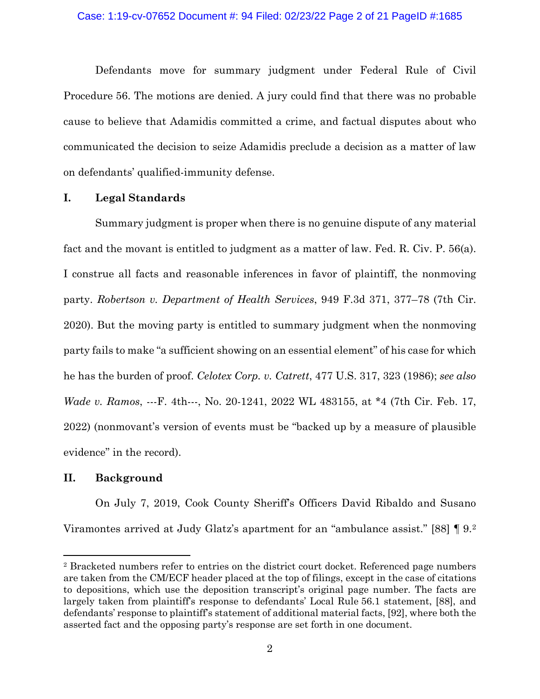Defendants move for summary judgment under Federal Rule of Civil Procedure 56. The motions are denied. A jury could find that there was no probable cause to believe that Adamidis committed a crime, and factual disputes about who communicated the decision to seize Adamidis preclude a decision as a matter of law on defendants' qualified-immunity defense.

### **I. Legal Standards**

Summary judgment is proper when there is no genuine dispute of any material fact and the movant is entitled to judgment as a matter of law. Fed. R. Civ. P. 56(a). I construe all facts and reasonable inferences in favor of plaintiff, the nonmoving party. *Robertson v. Department of Health Services*, 949 F.3d 371, 377–78 (7th Cir. 2020). But the moving party is entitled to summary judgment when the nonmoving party fails to make "a sufficient showing on an essential element" of his case for which he has the burden of proof. *Celotex Corp. v. Catrett*, 477 U.S. 317, 323 (1986); *see also Wade v. Ramos*, ---F. 4th---, No. 20-1241, 2022 WL 483155, at \*4 (7th Cir. Feb. 17, 2022) (nonmovant's version of events must be "backed up by a measure of plausible evidence" in the record).

## **II. Background**

On July 7, 2019, Cook County Sheriff's Officers David Ribaldo and Susano Viramontes arrived at Judy Glatz's apartment for an "ambulance assist." [88] ¶ 9.[2](#page-1-0)

<span id="page-1-0"></span><sup>2</sup> Bracketed numbers refer to entries on the district court docket. Referenced page numbers are taken from the CM/ECF header placed at the top of filings, except in the case of citations to depositions, which use the deposition transcript's original page number. The facts are largely taken from plaintiff's response to defendants' Local Rule 56.1 statement, [88], and defendants' response to plaintiff's statement of additional material facts, [92], where both the asserted fact and the opposing party's response are set forth in one document.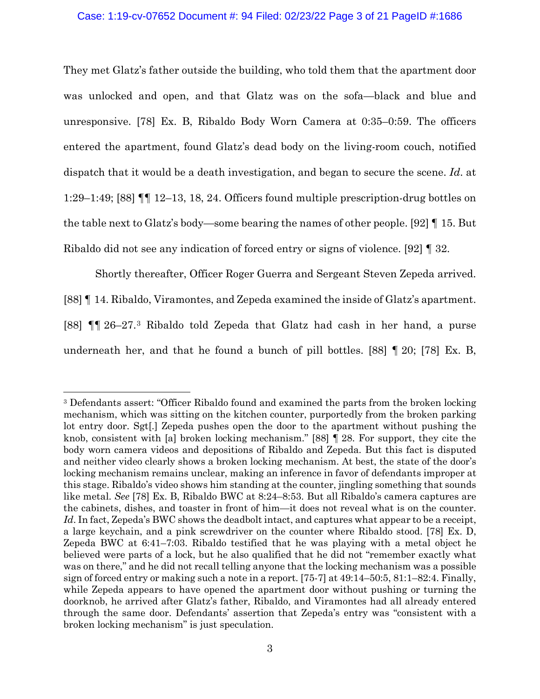#### Case: 1:19-cv-07652 Document #: 94 Filed: 02/23/22 Page 3 of 21 PageID #:1686

They met Glatz's father outside the building, who told them that the apartment door was unlocked and open, and that Glatz was on the sofa—black and blue and unresponsive. [78] Ex. B, Ribaldo Body Worn Camera at 0:35–0:59. The officers entered the apartment, found Glatz's dead body on the living-room couch, notified dispatch that it would be a death investigation, and began to secure the scene. *Id*. at 1:29–1:49; [88] ¶¶ 12–13, 18, 24. Officers found multiple prescription-drug bottles on the table next to Glatz's body—some bearing the names of other people. [92] ¶ 15. But Ribaldo did not see any indication of forced entry or signs of violence. [92] ¶ 32.

Shortly thereafter, Officer Roger Guerra and Sergeant Steven Zepeda arrived. [88] ¶ 14. Ribaldo, Viramontes, and Zepeda examined the inside of Glatz's apartment. [88] ¶¶ 26–27.[3](#page-2-0) Ribaldo told Zepeda that Glatz had cash in her hand, a purse underneath her, and that he found a bunch of pill bottles. [88] ¶ 20; [78] Ex. B,

<span id="page-2-0"></span><sup>3</sup> Defendants assert: "Officer Ribaldo found and examined the parts from the broken locking mechanism, which was sitting on the kitchen counter, purportedly from the broken parking lot entry door. Sgt[.] Zepeda pushes open the door to the apartment without pushing the knob, consistent with [a] broken locking mechanism." [88] ¶ 28. For support, they cite the body worn camera videos and depositions of Ribaldo and Zepeda. But this fact is disputed and neither video clearly shows a broken locking mechanism. At best, the state of the door's locking mechanism remains unclear, making an inference in favor of defendants improper at this stage. Ribaldo's video shows him standing at the counter, jingling something that sounds like metal. *See* [78] Ex. B, Ribaldo BWC at 8:24–8:53. But all Ribaldo's camera captures are the cabinets, dishes, and toaster in front of him—it does not reveal what is on the counter. Id. In fact, Zepeda's BWC shows the deadbolt intact, and captures what appear to be a receipt, a large keychain, and a pink screwdriver on the counter where Ribaldo stood. [78] Ex. D, Zepeda BWC at 6:41–7:03. Ribaldo testified that he was playing with a metal object he believed were parts of a lock, but he also qualified that he did not "remember exactly what was on there," and he did not recall telling anyone that the locking mechanism was a possible sign of forced entry or making such a note in a report. [75-7] at 49:14–50:5, 81:1–82:4. Finally, while Zepeda appears to have opened the apartment door without pushing or turning the doorknob, he arrived after Glatz's father, Ribaldo, and Viramontes had all already entered through the same door. Defendants' assertion that Zepeda's entry was "consistent with a broken locking mechanism" is just speculation.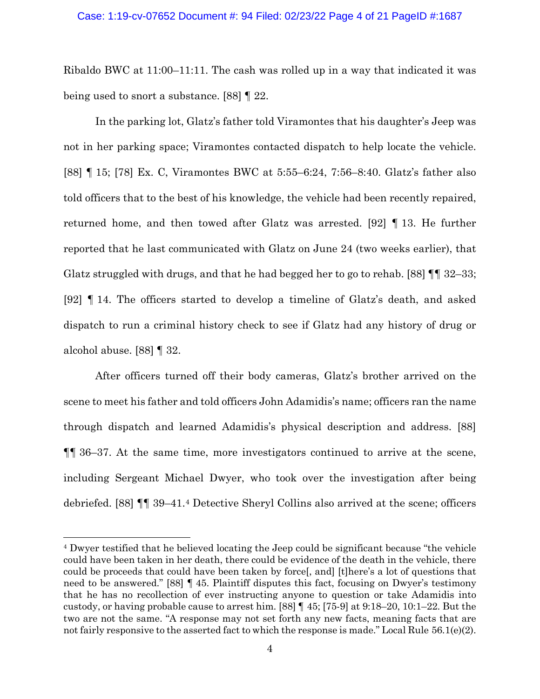#### Case: 1:19-cv-07652 Document #: 94 Filed: 02/23/22 Page 4 of 21 PageID #:1687

Ribaldo BWC at 11:00–11:11. The cash was rolled up in a way that indicated it was being used to snort a substance. [88] ¶ 22.

In the parking lot, Glatz's father told Viramontes that his daughter's Jeep was not in her parking space; Viramontes contacted dispatch to help locate the vehicle. [88] ¶ 15; [78] Ex. C, Viramontes BWC at 5:55–6:24, 7:56–8:40. Glatz's father also told officers that to the best of his knowledge, the vehicle had been recently repaired, returned home, and then towed after Glatz was arrested. [92] ¶ 13. He further reported that he last communicated with Glatz on June 24 (two weeks earlier), that Glatz struggled with drugs, and that he had begged her to go to rehab. [88] ¶¶ 32–33; [92] ¶ 14. The officers started to develop a timeline of Glatz's death, and asked dispatch to run a criminal history check to see if Glatz had any history of drug or alcohol abuse. [88] ¶ 32.

After officers turned off their body cameras, Glatz's brother arrived on the scene to meet his father and told officers John Adamidis's name; officers ran the name through dispatch and learned Adamidis's physical description and address. [88] ¶¶ 36–37. At the same time, more investigators continued to arrive at the scene, including Sergeant Michael Dwyer, who took over the investigation after being debriefed. [88] ¶¶ 39–41[.4](#page-3-0) Detective Sheryl Collins also arrived at the scene; officers

<span id="page-3-0"></span><sup>4</sup> Dwyer testified that he believed locating the Jeep could be significant because "the vehicle could have been taken in her death, there could be evidence of the death in the vehicle, there could be proceeds that could have been taken by force[, and] [t]here's a lot of questions that need to be answered." [88] ¶ 45. Plaintiff disputes this fact, focusing on Dwyer's testimony that he has no recollection of ever instructing anyone to question or take Adamidis into custody, or having probable cause to arrest him. [88] ¶ 45; [75-9] at 9:18–20, 10:1–22. But the two are not the same. "A response may not set forth any new facts, meaning facts that are not fairly responsive to the asserted fact to which the response is made." Local Rule  $56.1(e)(2)$ .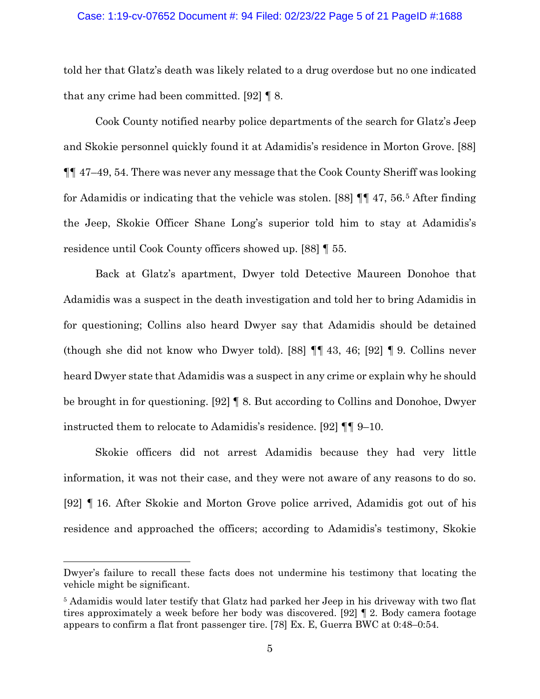#### Case: 1:19-cv-07652 Document #: 94 Filed: 02/23/22 Page 5 of 21 PageID #:1688

told her that Glatz's death was likely related to a drug overdose but no one indicated that any crime had been committed. [92] ¶ 8.

Cook County notified nearby police departments of the search for Glatz's Jeep and Skokie personnel quickly found it at Adamidis's residence in Morton Grove. [88] ¶¶ 47–49, 54. There was never any message that the Cook County Sheriff was looking for Adamidis or indicating that the vehicle was stolen. [88] ¶¶ 47, 56.[5](#page-4-0) After finding the Jeep, Skokie Officer Shane Long's superior told him to stay at Adamidis's residence until Cook County officers showed up. [88] ¶ 55.

Back at Glatz's apartment, Dwyer told Detective Maureen Donohoe that Adamidis was a suspect in the death investigation and told her to bring Adamidis in for questioning; Collins also heard Dwyer say that Adamidis should be detained (though she did not know who Dwyer told). [88] ¶¶ 43, 46; [92] ¶ 9. Collins never heard Dwyer state that Adamidis was a suspect in any crime or explain why he should be brought in for questioning. [92] ¶ 8. But according to Collins and Donohoe, Dwyer instructed them to relocate to Adamidis's residence. [92] ¶¶ 9–10.

Skokie officers did not arrest Adamidis because they had very little information, it was not their case, and they were not aware of any reasons to do so. [92] ¶ 16. After Skokie and Morton Grove police arrived, Adamidis got out of his residence and approached the officers; according to Adamidis's testimony, Skokie

Dwyer's failure to recall these facts does not undermine his testimony that locating the vehicle might be significant.

<span id="page-4-0"></span><sup>5</sup> Adamidis would later testify that Glatz had parked her Jeep in his driveway with two flat tires approximately a week before her body was discovered. [92] ¶ 2. Body camera footage appears to confirm a flat front passenger tire. [78] Ex. E, Guerra BWC at 0:48–0:54.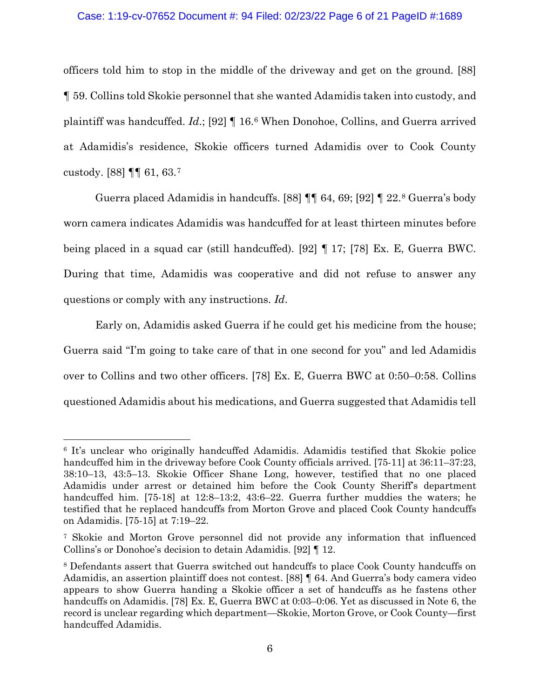### Case: 1:19-cv-07652 Document #: 94 Filed: 02/23/22 Page 6 of 21 PageID #:1689

officers told him to stop in the middle of the driveway and get on the ground. [88] ¶ 59. Collins told Skokie personnel that she wanted Adamidis taken into custody, and plaintiff was handcuffed. *Id*.; [92] ¶ 16.[6](#page-5-0) When Donohoe, Collins, and Guerra arrived at Adamidis's residence, Skokie officers turned Adamidis over to Cook County custody. [88] ¶¶ 61, 63.[7](#page-5-1)

Guerra placed Adamidis in handcuffs. [88] ¶¶ 64, 69; [92] ¶ 22[.8](#page-5-2) Guerra's body worn camera indicates Adamidis was handcuffed for at least thirteen minutes before being placed in a squad car (still handcuffed). [92] ¶ 17; [78] Ex. E, Guerra BWC. During that time, Adamidis was cooperative and did not refuse to answer any questions or comply with any instructions. *Id*.

Early on, Adamidis asked Guerra if he could get his medicine from the house; Guerra said "I'm going to take care of that in one second for you" and led Adamidis over to Collins and two other officers. [78] Ex. E, Guerra BWC at 0:50–0:58. Collins questioned Adamidis about his medications, and Guerra suggested that Adamidis tell

<span id="page-5-0"></span><sup>6</sup> It's unclear who originally handcuffed Adamidis. Adamidis testified that Skokie police handcuffed him in the driveway before Cook County officials arrived. [75-11] at 36:11–37:23, 38:10–13, 43:5–13. Skokie Officer Shane Long, however, testified that no one placed Adamidis under arrest or detained him before the Cook County Sheriff's department handcuffed him. [75-18] at 12:8–13:2, 43:6–22. Guerra further muddies the waters; he testified that he replaced handcuffs from Morton Grove and placed Cook County handcuffs on Adamidis. [75-15] at 7:19–22.

<span id="page-5-1"></span><sup>7</sup> Skokie and Morton Grove personnel did not provide any information that influenced Collins's or Donohoe's decision to detain Adamidis. [92] ¶ 12.

<span id="page-5-2"></span><sup>8</sup> Defendants assert that Guerra switched out handcuffs to place Cook County handcuffs on Adamidis, an assertion plaintiff does not contest. [88] ¶ 64. And Guerra's body camera video appears to show Guerra handing a Skokie officer a set of handcuffs as he fastens other handcuffs on Adamidis. [78] Ex. E, Guerra BWC at 0:03–0:06. Yet as discussed in Note 6, the record is unclear regarding which department—Skokie, Morton Grove, or Cook County—first handcuffed Adamidis.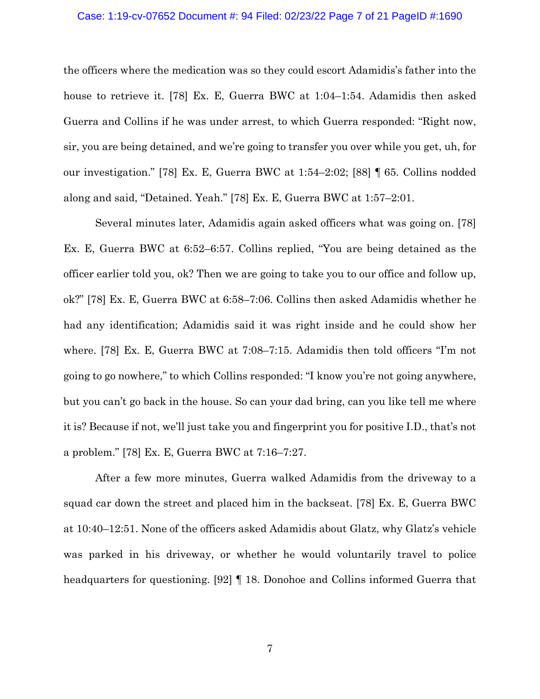#### Case: 1:19-cv-07652 Document #: 94 Filed: 02/23/22 Page 7 of 21 PageID #:1690

the officers where the medication was so they could escort Adamidis's father into the house to retrieve it. [78] Ex. E, Guerra BWC at 1:04–1:54. Adamidis then asked Guerra and Collins if he was under arrest, to which Guerra responded: "Right now, sir, you are being detained, and we're going to transfer you over while you get, uh, for our investigation." [78] Ex. E, Guerra BWC at 1:54–2:02; [88] ¶ 65. Collins nodded along and said, "Detained. Yeah." [78] Ex. E, Guerra BWC at 1:57–2:01.

Several minutes later, Adamidis again asked officers what was going on. [78] Ex. E, Guerra BWC at 6:52–6:57. Collins replied, "You are being detained as the officer earlier told you, ok? Then we are going to take you to our office and follow up, ok?" [78] Ex. E, Guerra BWC at 6:58–7:06. Collins then asked Adamidis whether he had any identification; Adamidis said it was right inside and he could show her where. [78] Ex. E, Guerra BWC at 7:08–7:15. Adamidis then told officers "I'm not going to go nowhere," to which Collins responded: "I know you're not going anywhere, but you can't go back in the house. So can your dad bring, can you like tell me where it is? Because if not, we'll just take you and fingerprint you for positive I.D., that's not a problem." [78] Ex. E, Guerra BWC at 7:16–7:27.

After a few more minutes, Guerra walked Adamidis from the driveway to a squad car down the street and placed him in the backseat. [78] Ex. E, Guerra BWC at 10:40–12:51. None of the officers asked Adamidis about Glatz, why Glatz's vehicle was parked in his driveway, or whether he would voluntarily travel to police headquarters for questioning. [92] ¶ 18. Donohoe and Collins informed Guerra that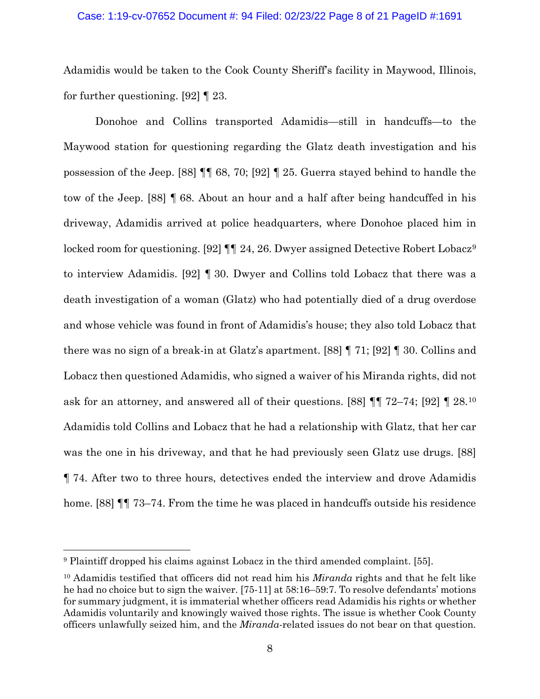#### Case: 1:19-cv-07652 Document #: 94 Filed: 02/23/22 Page 8 of 21 PageID #:1691

Adamidis would be taken to the Cook County Sheriff's facility in Maywood, Illinois, for further questioning. [92] ¶ 23.

Donohoe and Collins transported Adamidis—still in handcuffs—to the Maywood station for questioning regarding the Glatz death investigation and his possession of the Jeep. [88] ¶¶ 68, 70; [92] ¶ 25. Guerra stayed behind to handle the tow of the Jeep. [88] ¶ 68. About an hour and a half after being handcuffed in his driveway, Adamidis arrived at police headquarters, where Donohoe placed him in locked room for questioning. [[9](#page-7-0)2]  $\P\P$  24, 26. Dwyer assigned Detective Robert Lobacz<sup>9</sup> to interview Adamidis. [92] ¶ 30. Dwyer and Collins told Lobacz that there was a death investigation of a woman (Glatz) who had potentially died of a drug overdose and whose vehicle was found in front of Adamidis's house; they also told Lobacz that there was no sign of a break-in at Glatz's apartment. [88] ¶ 71; [92] ¶ 30. Collins and Lobacz then questioned Adamidis, who signed a waiver of his Miranda rights, did not ask for an attorney, and answered all of their questions. [88] ¶¶ 72–74; [92] ¶ 28.[10](#page-7-1) Adamidis told Collins and Lobacz that he had a relationship with Glatz, that her car was the one in his driveway, and that he had previously seen Glatz use drugs. [88] ¶ 74. After two to three hours, detectives ended the interview and drove Adamidis home. [88] **[1]** 73–74. From the time he was placed in handcuffs outside his residence

<span id="page-7-0"></span><sup>9</sup> Plaintiff dropped his claims against Lobacz in the third amended complaint. [55].

<span id="page-7-1"></span><sup>10</sup> Adamidis testified that officers did not read him his *Miranda* rights and that he felt like he had no choice but to sign the waiver. [75-11] at 58:16–59:7. To resolve defendants' motions for summary judgment, it is immaterial whether officers read Adamidis his rights or whether Adamidis voluntarily and knowingly waived those rights. The issue is whether Cook County officers unlawfully seized him, and the *Miranda*-related issues do not bear on that question.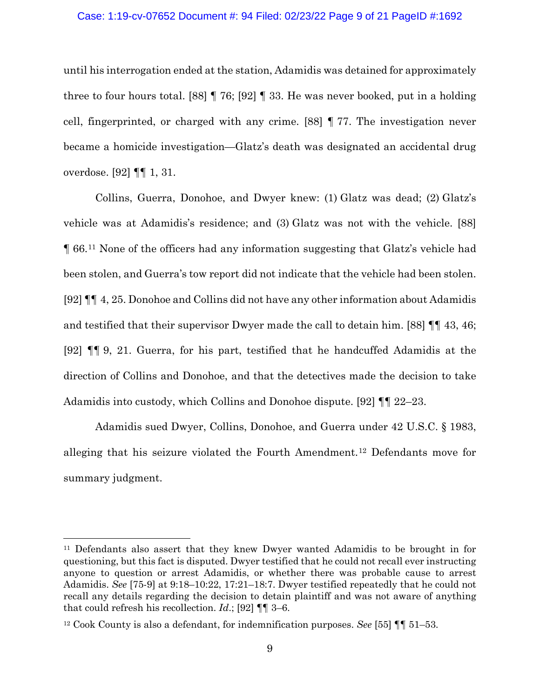#### Case: 1:19-cv-07652 Document #: 94 Filed: 02/23/22 Page 9 of 21 PageID #:1692

until his interrogation ended at the station, Adamidis was detained for approximately three to four hours total. [88] ¶ 76; [92] ¶ 33. He was never booked, put in a holding cell, fingerprinted, or charged with any crime. [88] ¶ 77. The investigation never became a homicide investigation—Glatz's death was designated an accidental drug overdose. [92] ¶¶ 1, 31.

Collins, Guerra, Donohoe, and Dwyer knew: (1) Glatz was dead; (2) Glatz's vehicle was at Adamidis's residence; and (3) Glatz was not with the vehicle. [88] ¶ 66.[11](#page-8-0) None of the officers had any information suggesting that Glatz's vehicle had been stolen, and Guerra's tow report did not indicate that the vehicle had been stolen. [92] ¶¶ 4, 25. Donohoe and Collins did not have any other information about Adamidis and testified that their supervisor Dwyer made the call to detain him. [88] ¶¶ 43, 46; [92] ¶¶ 9, 21. Guerra, for his part, testified that he handcuffed Adamidis at the direction of Collins and Donohoe, and that the detectives made the decision to take Adamidis into custody, which Collins and Donohoe dispute. [92] ¶¶ 22–23.

Adamidis sued Dwyer, Collins, Donohoe, and Guerra under 42 U.S.C. § 1983, alleging that his seizure violated the Fourth Amendment.[12](#page-8-1) Defendants move for summary judgment.

<span id="page-8-0"></span><sup>11</sup> Defendants also assert that they knew Dwyer wanted Adamidis to be brought in for questioning, but this fact is disputed. Dwyer testified that he could not recall ever instructing anyone to question or arrest Adamidis, or whether there was probable cause to arrest Adamidis. *See* [75-9] at 9:18–10:22, 17:21–18:7. Dwyer testified repeatedly that he could not recall any details regarding the decision to detain plaintiff and was not aware of anything that could refresh his recollection. *Id*.; [92] ¶¶ 3–6.

<span id="page-8-1"></span><sup>12</sup> Cook County is also a defendant, for indemnification purposes. *See* [55] ¶¶ 51–53.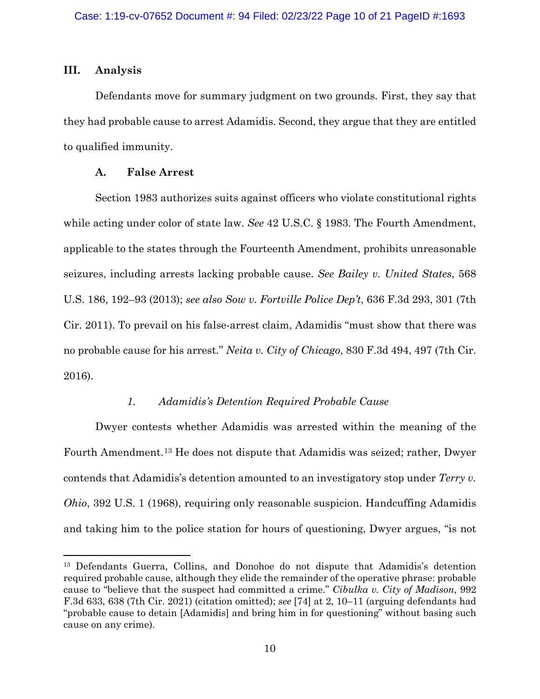## **III. Analysis**

Defendants move for summary judgment on two grounds. First, they say that they had probable cause to arrest Adamidis. Second, they argue that they are entitled to qualified immunity.

## **A. False Arrest**

Section 1983 authorizes suits against officers who violate constitutional rights while acting under color of state law. *See* 42 U.S.C. § 1983. The Fourth Amendment, applicable to the states through the Fourteenth Amendment, prohibits unreasonable seizures, including arrests lacking probable cause. *See Bailey v. United States*, 568 U.S. 186, 192–93 (2013); *see also Sow v. Fortville Police Dep't*, 636 F.3d 293, 301 (7th Cir. 2011). To prevail on his false-arrest claim, Adamidis "must show that there was no probable cause for his arrest*.*" *Neita v. City of Chicago*, 830 F.3d 494, 497 (7th Cir. 2016).

## *1. Adamidis's Detention Required Probable Cause*

Dwyer contests whether Adamidis was arrested within the meaning of the Fourth Amendment.[13](#page-9-0) He does not dispute that Adamidis was seized; rather, Dwyer contends that Adamidis's detention amounted to an investigatory stop under *Terry v. Ohio*, 392 U.S. 1 (1968), requiring only reasonable suspicion. Handcuffing Adamidis and taking him to the police station for hours of questioning, Dwyer argues, "is not

<span id="page-9-0"></span><sup>13</sup> Defendants Guerra, Collins, and Donohoe do not dispute that Adamidis's detention required probable cause, although they elide the remainder of the operative phrase: probable cause to "believe that the suspect had committed a crime." *Cibulka v. City of Madison*, 992 F.3d 633, 638 (7th Cir. 2021) (citation omitted); *see* [74] at 2, 10–11 (arguing defendants had "probable cause to detain [Adamidis] and bring him in for questioning" without basing such cause on any crime).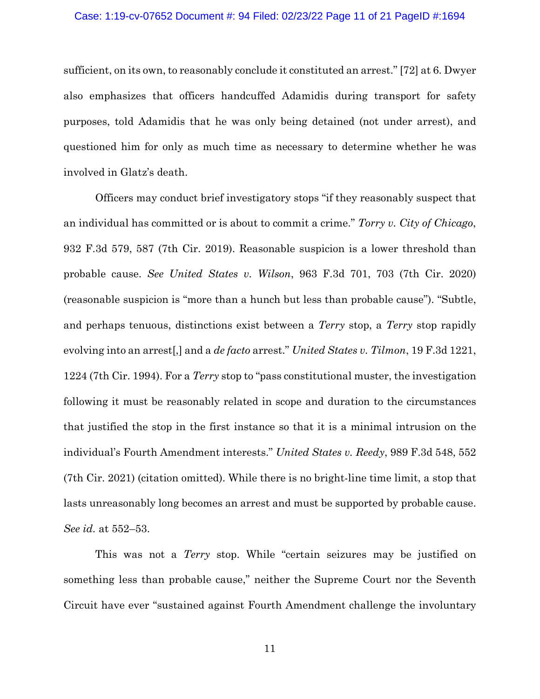#### Case: 1:19-cv-07652 Document #: 94 Filed: 02/23/22 Page 11 of 21 PageID #:1694

sufficient, on its own, to reasonably conclude it constituted an arrest." [72] at 6. Dwyer also emphasizes that officers handcuffed Adamidis during transport for safety purposes, told Adamidis that he was only being detained (not under arrest), and questioned him for only as much time as necessary to determine whether he was involved in Glatz's death.

Officers may conduct brief investigatory stops "if they reasonably suspect that an individual has committed or is about to commit a crime." *Torry v. City of Chicago*, 932 F.3d 579, 587 (7th Cir. 2019). Reasonable suspicion is a lower threshold than probable cause. *See United States v. Wilson*, 963 F.3d 701, 703 (7th Cir. 2020) (reasonable suspicion is "more than a hunch but less than probable cause"). "Subtle, and perhaps tenuous, distinctions exist between a *Terry* stop, a *Terry* stop rapidly evolving into an arrest[,] and a *de facto* arrest." *United States v. Tilmon*, 19 F.3d 1221, 1224 (7th Cir. 1994). For a *Terry* stop to "pass constitutional muster, the investigation following it must be reasonably related in scope and duration to the circumstances that justified the stop in the first instance so that it is a minimal intrusion on the individual's Fourth Amendment interests." *United States v. Reedy*, 989 F.3d 548, 552 (7th Cir. 2021) (citation omitted). While there is no bright-line time limit, a stop that lasts unreasonably long becomes an arrest and must be supported by probable cause. *See id.* at 552–53.

This was not a *Terry* stop. While "certain seizures may be justified on something less than probable cause," neither the Supreme Court nor the Seventh Circuit have ever "sustained against Fourth Amendment challenge the involuntary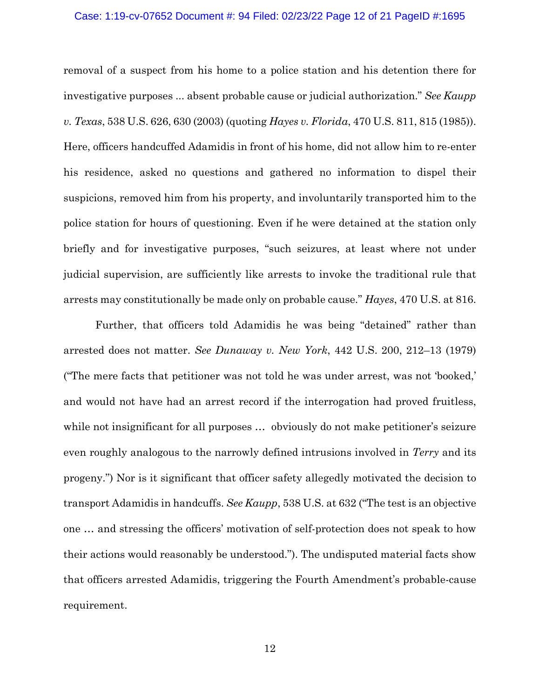#### Case: 1:19-cv-07652 Document #: 94 Filed: 02/23/22 Page 12 of 21 PageID #:1695

removal of a suspect from his home to a police station and his detention there for investigative purposes ... absent probable cause or judicial authorization." *See Kaupp v. Texas*, 538 U.S. 626, 630 (2003) (quoting *Hayes v. Florida*, 470 U.S. 811, 815 (1985)). Here, officers handcuffed Adamidis in front of his home, did not allow him to re-enter his residence, asked no questions and gathered no information to dispel their suspicions, removed him from his property, and involuntarily transported him to the police station for hours of questioning. Even if he were detained at the station only briefly and for investigative purposes, "such seizures, at least where not under judicial supervision, are sufficiently like arrests to invoke the traditional rule that arrests may constitutionally be made only on probable cause." *Hayes*, 470 U.S. at 816.

Further, that officers told Adamidis he was being "detained" rather than arrested does not matter. *See Dunaway v. New York*, 442 U.S. 200, 212–13 (1979) ("The mere facts that petitioner was not told he was under arrest, was not 'booked,' and would not have had an arrest record if the interrogation had proved fruitless, while not insignificant for all purposes ... obviously do not make petitioner's seizure even roughly analogous to the narrowly defined intrusions involved in *Terry* and its progeny.") Nor is it significant that officer safety allegedly motivated the decision to transport Adamidis in handcuffs. *See Kaupp*, 538 U.S. at 632 ("The test is an objective one … and stressing the officers' motivation of self-protection does not speak to how their actions would reasonably be understood."). The undisputed material facts show that officers arrested Adamidis, triggering the Fourth Amendment's probable-cause requirement.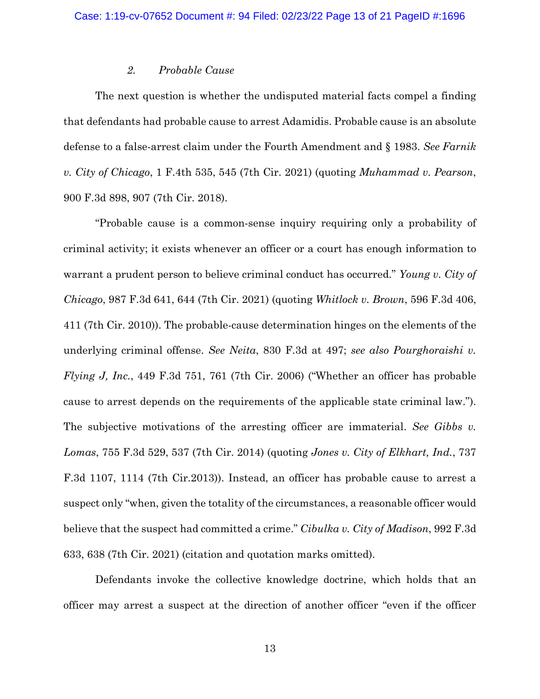### *2. Probable Cause*

The next question is whether the undisputed material facts compel a finding that defendants had probable cause to arrest Adamidis. Probable cause is an absolute defense to a false-arrest claim under the Fourth Amendment and § 1983. *See Farnik v. City of Chicago*, 1 F.4th 535, 545 (7th Cir. 2021) (quoting *Muhammad v. Pearson*, 900 F.3d 898, 907 (7th Cir. 2018).

"Probable cause is a common-sense inquiry requiring only a probability of criminal activity; it exists whenever an officer or a court has enough information to warrant a prudent person to believe criminal conduct has occurred." *Young v. City of Chicago*, 987 F.3d 641, 644 (7th Cir. 2021) (quoting *Whitlock v. Brown*, 596 F.3d 406, 411 (7th Cir. 2010)). The probable-cause determination hinges on the elements of the underlying criminal offense. *See Neita*, 830 F.3d at 497; *see also Pourghoraishi v. Flying J, Inc.*, 449 F.3d 751, 761 (7th Cir. 2006) ("Whether an officer has probable cause to arrest depends on the requirements of the applicable state criminal law."). The subjective motivations of the arresting officer are immaterial. *See Gibbs v. Lomas*, 755 F.3d 529, 537 (7th Cir. 2014) (quoting *Jones v. City of Elkhart, Ind.*, 737 F.3d 1107, 1114 (7th Cir.2013)). Instead, an officer has probable cause to arrest a suspect only "when, given the totality of the circumstances, a reasonable officer would believe that the suspect had committed a crime." *Cibulka v. City of Madison*, 992 F.3d 633, 638 (7th Cir. 2021) (citation and quotation marks omitted).

Defendants invoke the collective knowledge doctrine, which holds that an officer may arrest a suspect at the direction of another officer "even if the officer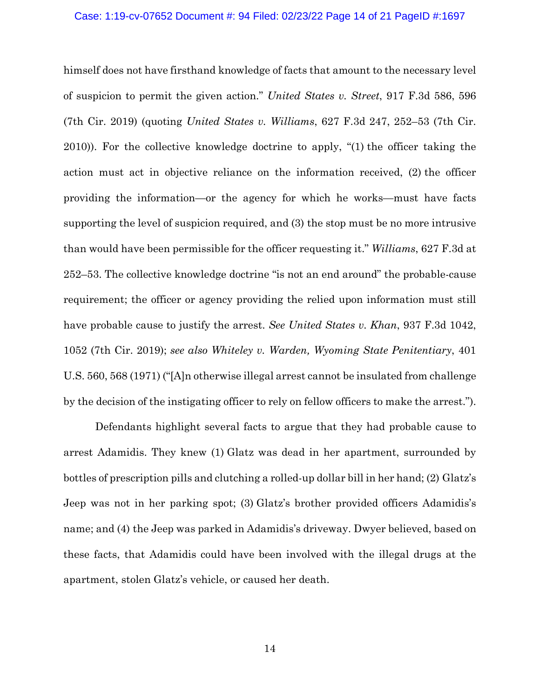#### Case: 1:19-cv-07652 Document #: 94 Filed: 02/23/22 Page 14 of 21 PageID #:1697

himself does not have firsthand knowledge of facts that amount to the necessary level of suspicion to permit the given action." *United States v. Street*, 917 F.3d 586, 596 (7th Cir. 2019) (quoting *United States v. Williams*, 627 F.3d 247, 252–53 (7th Cir. 2010)). For the collective knowledge doctrine to apply, "(1) the officer taking the action must act in objective reliance on the information received, (2) the officer providing the information—or the agency for which he works—must have facts supporting the level of suspicion required, and (3) the stop must be no more intrusive than would have been permissible for the officer requesting it." *Williams*, 627 F.3d at 252–53. The collective knowledge doctrine "is not an end around" the probable-cause requirement; the officer or agency providing the relied upon information must still have probable cause to justify the arrest. *See United States v. Khan*, 937 F.3d 1042, 1052 (7th Cir. 2019); *see also Whiteley v. Warden, Wyoming State Penitentiary*, 401 U.S. 560, 568 (1971) ("[A]n otherwise illegal arrest cannot be insulated from challenge by the decision of the instigating officer to rely on fellow officers to make the arrest.").

Defendants highlight several facts to argue that they had probable cause to arrest Adamidis. They knew (1) Glatz was dead in her apartment, surrounded by bottles of prescription pills and clutching a rolled-up dollar bill in her hand; (2) Glatz's Jeep was not in her parking spot; (3) Glatz's brother provided officers Adamidis's name; and (4) the Jeep was parked in Adamidis's driveway. Dwyer believed, based on these facts, that Adamidis could have been involved with the illegal drugs at the apartment, stolen Glatz's vehicle, or caused her death.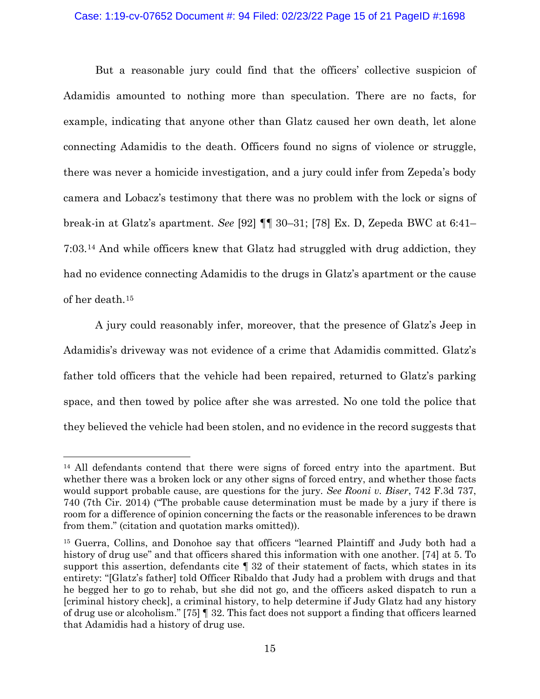#### Case: 1:19-cv-07652 Document #: 94 Filed: 02/23/22 Page 15 of 21 PageID #:1698

But a reasonable jury could find that the officers' collective suspicion of Adamidis amounted to nothing more than speculation. There are no facts, for example, indicating that anyone other than Glatz caused her own death, let alone connecting Adamidis to the death. Officers found no signs of violence or struggle, there was never a homicide investigation, and a jury could infer from Zepeda's body camera and Lobacz's testimony that there was no problem with the lock or signs of break-in at Glatz's apartment. *See* [92] ¶¶ 30–31; [78] Ex. D, Zepeda BWC at 6:41– 7:03.[14](#page-14-0) And while officers knew that Glatz had struggled with drug addiction, they had no evidence connecting Adamidis to the drugs in Glatz's apartment or the cause of her death.[15](#page-14-1)

A jury could reasonably infer, moreover, that the presence of Glatz's Jeep in Adamidis's driveway was not evidence of a crime that Adamidis committed. Glatz's father told officers that the vehicle had been repaired, returned to Glatz's parking space, and then towed by police after she was arrested. No one told the police that they believed the vehicle had been stolen, and no evidence in the record suggests that

<span id="page-14-0"></span><sup>&</sup>lt;sup>14</sup> All defendants contend that there were signs of forced entry into the apartment. But whether there was a broken lock or any other signs of forced entry, and whether those facts would support probable cause, are questions for the jury. *See Rooni v. Biser*, 742 F.3d 737, 740 (7th Cir. 2014) ("The probable cause determination must be made by a jury if there is room for a difference of opinion concerning the facts or the reasonable inferences to be drawn from them." (citation and quotation marks omitted)).

<span id="page-14-1"></span><sup>15</sup> Guerra, Collins, and Donohoe say that officers "learned Plaintiff and Judy both had a history of drug use" and that officers shared this information with one another. [74] at 5. To support this assertion, defendants cite ¶ 32 of their statement of facts, which states in its entirety: "[Glatz's father] told Officer Ribaldo that Judy had a problem with drugs and that he begged her to go to rehab, but she did not go, and the officers asked dispatch to run a [criminal history check], a criminal history, to help determine if Judy Glatz had any history of drug use or alcoholism." [75] ¶ 32. This fact does not support a finding that officers learned that Adamidis had a history of drug use.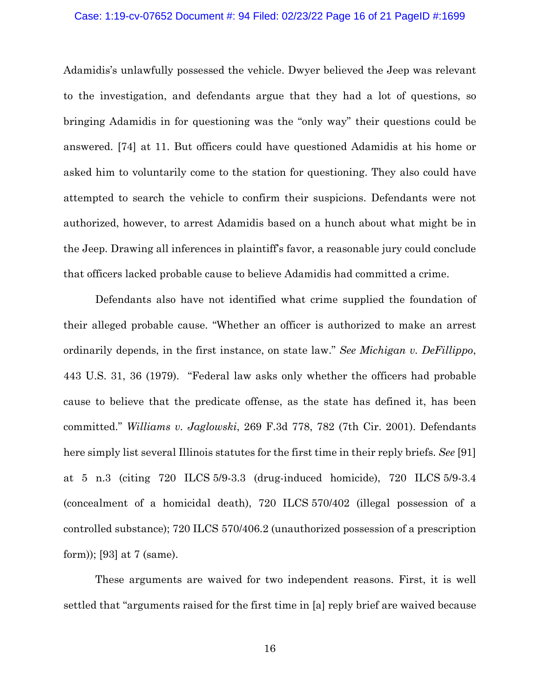#### Case: 1:19-cv-07652 Document #: 94 Filed: 02/23/22 Page 16 of 21 PageID #:1699

Adamidis's unlawfully possessed the vehicle. Dwyer believed the Jeep was relevant to the investigation, and defendants argue that they had a lot of questions, so bringing Adamidis in for questioning was the "only way" their questions could be answered. [74] at 11. But officers could have questioned Adamidis at his home or asked him to voluntarily come to the station for questioning. They also could have attempted to search the vehicle to confirm their suspicions. Defendants were not authorized, however, to arrest Adamidis based on a hunch about what might be in the Jeep. Drawing all inferences in plaintiff's favor, a reasonable jury could conclude that officers lacked probable cause to believe Adamidis had committed a crime.

Defendants also have not identified what crime supplied the foundation of their alleged probable cause. "Whether an officer is authorized to make an arrest ordinarily depends, in the first instance, on state law." *See Michigan v. DeFillippo*, 443 U.S. 31, 36 (1979). "Federal law asks only whether the officers had probable cause to believe that the predicate offense, as the state has defined it, has been committed." *Williams v. Jaglowski*, 269 F.3d 778, 782 (7th Cir. 2001). Defendants here simply list several Illinois statutes for the first time in their reply briefs. *See* [91] at 5 n.3 (citing 720 ILCS 5/9-3.3 (drug-induced homicide), 720 ILCS 5/9-3.4 (concealment of a homicidal death), 720 ILCS 570/402 (illegal possession of a controlled substance); 720 ILCS 570/406.2 (unauthorized possession of a prescription form)); [93] at 7 (same).

These arguments are waived for two independent reasons. First, it is well settled that "arguments raised for the first time in [a] reply brief are waived because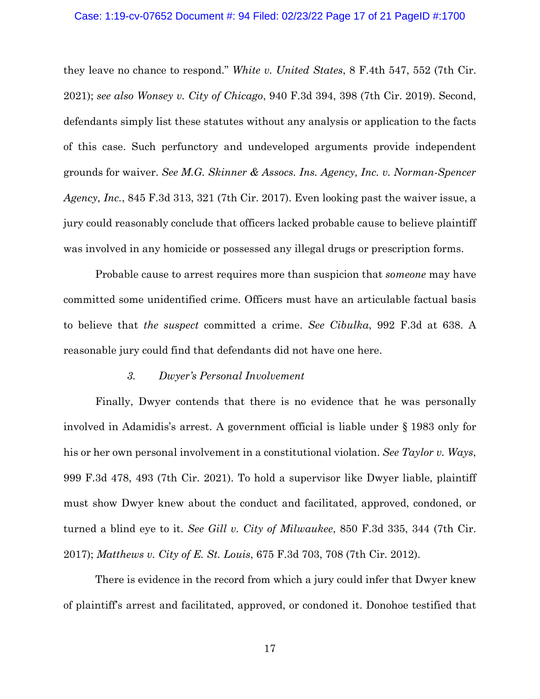#### Case: 1:19-cv-07652 Document #: 94 Filed: 02/23/22 Page 17 of 21 PageID #:1700

they leave no chance to respond." *White v. United States*, 8 F.4th 547, 552 (7th Cir. 2021); *see also Wonsey v. City of Chicago*, 940 F.3d 394, 398 (7th Cir. 2019). Second, defendants simply list these statutes without any analysis or application to the facts of this case. Such perfunctory and undeveloped arguments provide independent grounds for waiver. *See M.G. Skinner & Assocs. Ins. Agency, Inc. v. Norman-Spencer Agency, Inc.*, 845 F.3d 313, 321 (7th Cir. 2017). Even looking past the waiver issue, a jury could reasonably conclude that officers lacked probable cause to believe plaintiff was involved in any homicide or possessed any illegal drugs or prescription forms.

Probable cause to arrest requires more than suspicion that *someone* may have committed some unidentified crime. Officers must have an articulable factual basis to believe that *the suspect* committed a crime. *See Cibulka*, 992 F.3d at 638. A reasonable jury could find that defendants did not have one here.

### *3. Dwyer's Personal Involvement*

Finally, Dwyer contends that there is no evidence that he was personally involved in Adamidis's arrest. A government official is liable under § 1983 only for his or her own personal involvement in a constitutional violation. *See Taylor v. Ways*, 999 F.3d 478, 493 (7th Cir. 2021). To hold a supervisor like Dwyer liable, plaintiff must show Dwyer knew about the conduct and facilitated, approved, condoned, or turned a blind eye to it. *See Gill v. City of Milwaukee*, 850 F.3d 335, 344 (7th Cir. 2017); *Matthews v. City of E. St. Louis*, 675 F.3d 703, 708 (7th Cir. 2012).

There is evidence in the record from which a jury could infer that Dwyer knew of plaintiff's arrest and facilitated, approved, or condoned it. Donohoe testified that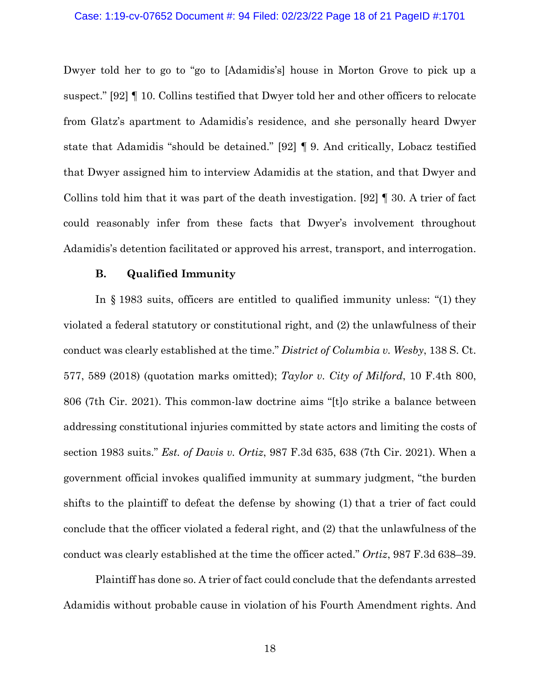Dwyer told her to go to "go to [Adamidis's] house in Morton Grove to pick up a suspect." [92] ¶ 10. Collins testified that Dwyer told her and other officers to relocate from Glatz's apartment to Adamidis's residence, and she personally heard Dwyer state that Adamidis "should be detained." [92] ¶ 9. And critically, Lobacz testified that Dwyer assigned him to interview Adamidis at the station, and that Dwyer and Collins told him that it was part of the death investigation. [92] ¶ 30. A trier of fact could reasonably infer from these facts that Dwyer's involvement throughout Adamidis's detention facilitated or approved his arrest, transport, and interrogation.

### **B. Qualified Immunity**

In § 1983 suits, officers are entitled to qualified immunity unless: "(1) they violated a federal statutory or constitutional right, and (2) the unlawfulness of their conduct was clearly established at the time." *District of Columbia v. Wesby*, 138 S. Ct. 577, 589 (2018) (quotation marks omitted); *Taylor v. City of Milford*, 10 F.4th 800, 806 (7th Cir. 2021). This common-law doctrine aims "[t]o strike a balance between addressing constitutional injuries committed by state actors and limiting the costs of section 1983 suits." *Est. of Davis v. Ortiz*, 987 F.3d 635, 638 (7th Cir. 2021). When a government official invokes qualified immunity at summary judgment, "the burden shifts to the plaintiff to defeat the defense by showing (1) that a trier of fact could conclude that the officer violated a federal right, and (2) that the unlawfulness of the conduct was clearly established at the time the officer acted." *Ortiz*, 987 F.3d 638–39.

Plaintiff has done so. A trier of fact could conclude that the defendants arrested Adamidis without probable cause in violation of his Fourth Amendment rights. And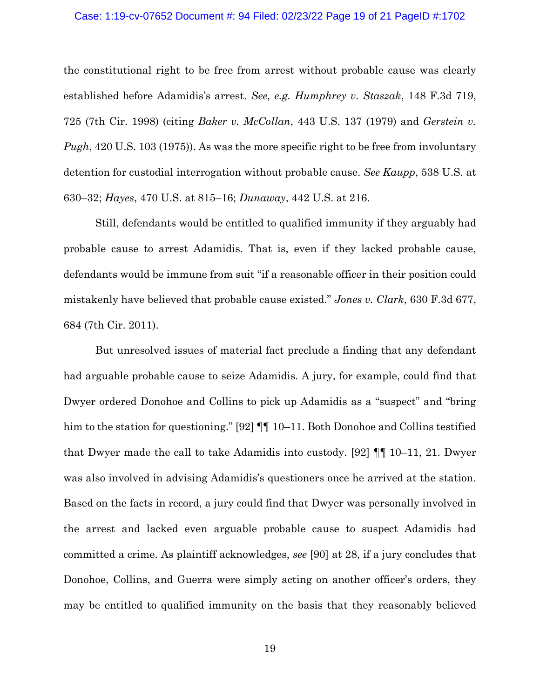#### Case: 1:19-cv-07652 Document #: 94 Filed: 02/23/22 Page 19 of 21 PageID #:1702

the constitutional right to be free from arrest without probable cause was clearly established before Adamidis's arrest. *See, e.g. Humphrey v. Staszak*, 148 F.3d 719, 725 (7th Cir. 1998) (citing *Baker v. McCollan*, 443 U.S. 137 (1979) and *Gerstein v. Pugh*, 420 U.S. 103 (1975)). As was the more specific right to be free from involuntary detention for custodial interrogation without probable cause. *See Kaupp*, 538 U.S. at 630–32; *Hayes*, 470 U.S. at 815–16; *Dunaway*, 442 U.S. at 216.

Still, defendants would be entitled to qualified immunity if they arguably had probable cause to arrest Adamidis. That is, even if they lacked probable cause, defendants would be immune from suit "if a reasonable officer in their position could mistakenly have believed that probable cause existed." *Jones v. Clark*, 630 F.3d 677, 684 (7th Cir. 2011).

But unresolved issues of material fact preclude a finding that any defendant had arguable probable cause to seize Adamidis. A jury, for example, could find that Dwyer ordered Donohoe and Collins to pick up Adamidis as a "suspect" and "bring him to the station for questioning." [92]  $\P\P$  10–11. Both Donohoe and Collins testified that Dwyer made the call to take Adamidis into custody. [92] ¶¶ 10–11, 21. Dwyer was also involved in advising Adamidis's questioners once he arrived at the station. Based on the facts in record, a jury could find that Dwyer was personally involved in the arrest and lacked even arguable probable cause to suspect Adamidis had committed a crime. As plaintiff acknowledges, *see* [90] at 28, if a jury concludes that Donohoe, Collins, and Guerra were simply acting on another officer's orders, they may be entitled to qualified immunity on the basis that they reasonably believed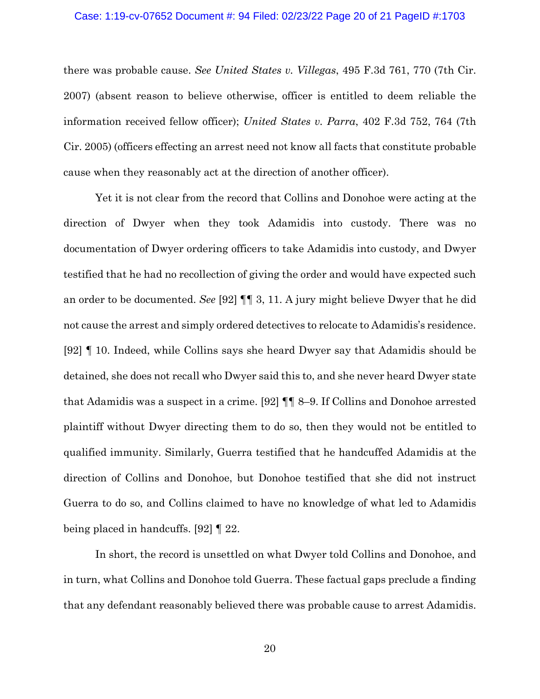#### Case: 1:19-cv-07652 Document #: 94 Filed: 02/23/22 Page 20 of 21 PageID #:1703

there was probable cause. *See United States v. Villegas*, 495 F.3d 761, 770 (7th Cir. 2007) (absent reason to believe otherwise, officer is entitled to deem reliable the information received fellow officer); *United States v. Parra*, 402 F.3d 752, 764 (7th Cir. 2005) (officers effecting an arrest need not know all facts that constitute probable cause when they reasonably act at the direction of another officer).

Yet it is not clear from the record that Collins and Donohoe were acting at the direction of Dwyer when they took Adamidis into custody. There was no documentation of Dwyer ordering officers to take Adamidis into custody, and Dwyer testified that he had no recollection of giving the order and would have expected such an order to be documented. *See* [92] ¶¶ 3, 11. A jury might believe Dwyer that he did not cause the arrest and simply ordered detectives to relocate to Adamidis's residence. [92] ¶ 10. Indeed, while Collins says she heard Dwyer say that Adamidis should be detained, she does not recall who Dwyer said this to, and she never heard Dwyer state that Adamidis was a suspect in a crime. [92] ¶¶ 8–9. If Collins and Donohoe arrested plaintiff without Dwyer directing them to do so, then they would not be entitled to qualified immunity. Similarly, Guerra testified that he handcuffed Adamidis at the direction of Collins and Donohoe, but Donohoe testified that she did not instruct Guerra to do so, and Collins claimed to have no knowledge of what led to Adamidis being placed in handcuffs. [92] ¶ 22.

In short, the record is unsettled on what Dwyer told Collins and Donohoe, and in turn, what Collins and Donohoe told Guerra. These factual gaps preclude a finding that any defendant reasonably believed there was probable cause to arrest Adamidis.